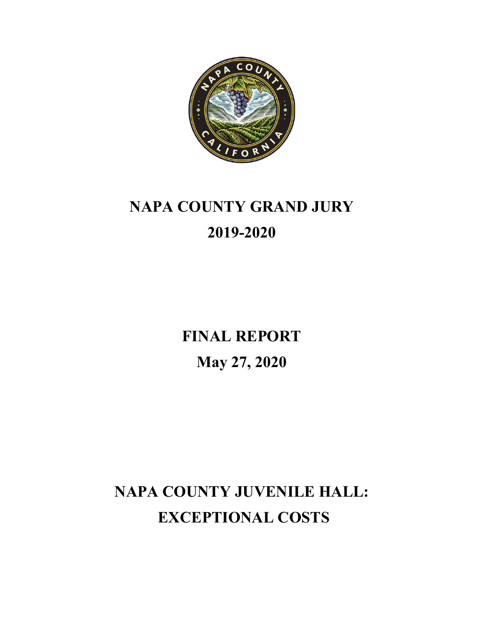

# **NAPA COUNTY GRAND JURY 2019-2020**

**FINAL REPORT May 27, 2020**

**NAPA COUNTY JUVENILE HALL: EXCEPTIONAL COSTS**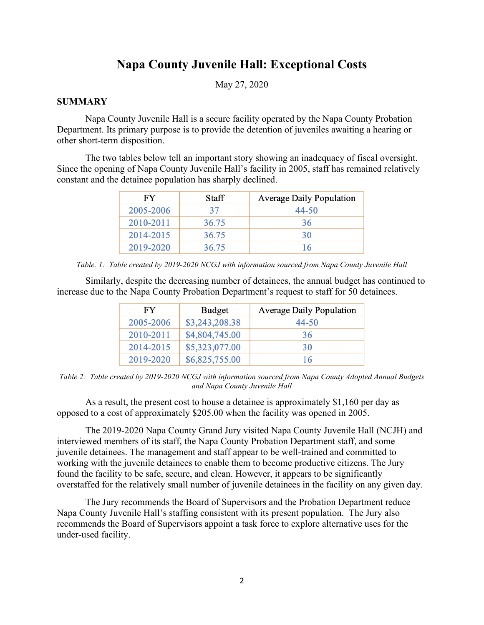# **Napa County Juvenile Hall: Exceptional Costs**

May 27, 2020

### **SUMMARY**

 Napa County Juvenile Hall is a secure facility operated by the Napa County Probation Department. Its primary purpose is to provide the detention of juveniles awaiting a hearing or other short-term disposition.

The two tables below tell an important story showing an inadequacy of fiscal oversight. Since the opening of Napa County Juvenile Hall's facility in 2005, staff has remained relatively constant and the detainee population has sharply declined.

| FY        | <b>Staff</b> | <b>Average Daily Population</b> |  |
|-----------|--------------|---------------------------------|--|
| 2005-2006 | 37           | 44-50                           |  |
| 2010-2011 | 36.75        | 36                              |  |
| 2014-2015 | 36.75        | 30                              |  |
| 2019-2020 | 36.75        | 16                              |  |

*Table. 1: Table created by 2019-2020 NCGJ with information sourced from Napa County Juvenile Hall*

Similarly, despite the decreasing number of detainees, the annual budget has continued to increase due to the Napa County Probation Department's request to staff for 50 detainees.

| FY        | <b>Budget</b>  | <b>Average Daily Population</b> |
|-----------|----------------|---------------------------------|
| 2005-2006 | \$3,243,208.38 | 44-50                           |
| 2010-2011 | \$4,804,745.00 | 36                              |
| 2014-2015 | \$5,323,077.00 | 30                              |
| 2019-2020 | \$6,825,755.00 | 16                              |

*Table 2: Table created by 2019-2020 NCGJ with information sourced from Napa County Adopted Annual Budgets and Napa County Juvenile Hall*

As a result, the present cost to house a detainee is approximately \$1,160 per day as opposed to a cost of approximately \$205.00 when the facility was opened in 2005.

The 2019-2020 Napa County Grand Jury visited Napa County Juvenile Hall (NCJH) and interviewed members of its staff, the Napa County Probation Department staff, and some juvenile detainees. The management and staff appear to be well-trained and committed to working with the juvenile detainees to enable them to become productive citizens. The Jury found the facility to be safe, secure, and clean. However, it appears to be significantly overstaffed for the relatively small number of juvenile detainees in the facility on any given day.

The Jury recommends the Board of Supervisors and the Probation Department reduce Napa County Juvenile Hall's staffing consistent with its present population. The Jury also recommends the Board of Supervisors appoint a task force to explore alternative uses for the under-used facility.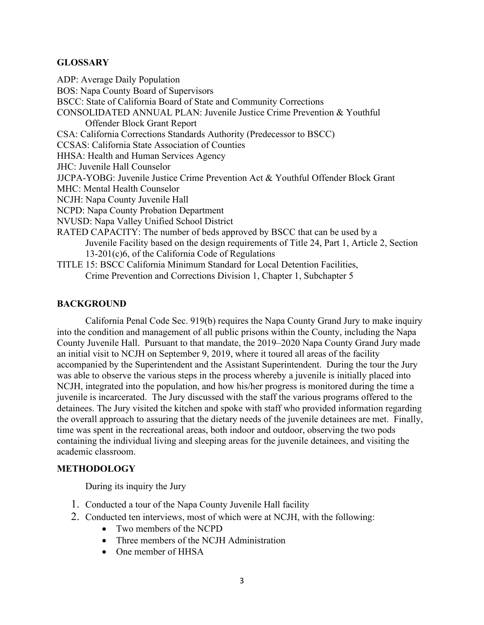#### **GLOSSARY**

ADP: Average Daily Population BOS: Napa County Board of Supervisors BSCC: State of California Board of State and Community Corrections CONSOLIDATED ANNUAL PLAN: Juvenile Justice Crime Prevention & Youthful Offender Block Grant Report CSA: California Corrections Standards Authority (Predecessor to BSCC) CCSAS: California State Association of Counties HHSA: Health and Human Services Agency JHC: Juvenile Hall Counselor JJCPA-YOBG: Juvenile Justice Crime Prevention Act & Youthful Offender Block Grant MHC: Mental Health Counselor NCJH: Napa County Juvenile Hall NCPD: Napa County Probation Department NVUSD: Napa Valley Unified School District RATED CAPACITY: The number of beds approved by BSCC that can be used by a Juvenile Facility based on the design requirements of Title 24, Part 1, Article 2, Section 13-201(c)6, of the California Code of Regulations TITLE 15: BSCC California Minimum Standard for Local Detention Facilities, Crime Prevention and Corrections Division 1, Chapter 1, Subchapter 5

#### **BACKGROUND**

California Penal Code Sec. 919(b) requires the Napa County Grand Jury to make inquiry into the condition and management of all public prisons within the County, including the Napa County Juvenile Hall. Pursuant to that mandate, the 2019–2020 Napa County Grand Jury made an initial visit to NCJH on September 9, 2019, where it toured all areas of the facility accompanied by the Superintendent and the Assistant Superintendent. During the tour the Jury was able to observe the various steps in the process whereby a juvenile is initially placed into NCJH, integrated into the population, and how his/her progress is monitored during the time a juvenile is incarcerated. The Jury discussed with the staff the various programs offered to the detainees. The Jury visited the kitchen and spoke with staff who provided information regarding the overall approach to assuring that the dietary needs of the juvenile detainees are met. Finally, time was spent in the recreational areas, both indoor and outdoor, observing the two pods containing the individual living and sleeping areas for the juvenile detainees, and visiting the academic classroom.

# **METHODOLOGY**

During its inquiry the Jury

- 1. Conducted a tour of the Napa County Juvenile Hall facility
- 2. Conducted ten interviews, most of which were at NCJH, with the following:
	- Two members of the NCPD
	- Three members of the NCJH Administration
	- One member of HHSA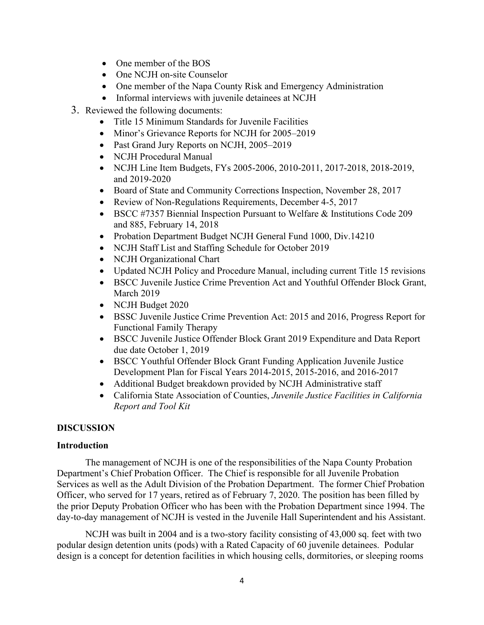- One member of the BOS
- One NCJH on-site Counselor
- One member of the Napa County Risk and Emergency Administration
- Informal interviews with juvenile detainees at NCJH
- 3. Reviewed the following documents:
	- Title 15 Minimum Standards for Juvenile Facilities
	- Minor's Grievance Reports for NCJH for 2005–2019
	- Past Grand Jury Reports on NCJH, 2005–2019
	- NCJH Procedural Manual
	- NCJH Line Item Budgets, FYs 2005-2006, 2010-2011, 2017-2018, 2018-2019, and 2019-2020
	- Board of State and Community Corrections Inspection, November 28, 2017
	- Review of Non-Regulations Requirements, December 4-5, 2017
	- BSCC #7357 Biennial Inspection Pursuant to Welfare & Institutions Code 209 and 885, February 14, 2018
	- Probation Department Budget NCJH General Fund 1000, Div.14210
	- NCJH Staff List and Staffing Schedule for October 2019
	- NCJH Organizational Chart
	- Updated NCJH Policy and Procedure Manual, including current Title 15 revisions
	- BSCC Juvenile Justice Crime Prevention Act and Youthful Offender Block Grant, March 2019
	- NCJH Budget 2020
	- BSSC Juvenile Justice Crime Prevention Act: 2015 and 2016, Progress Report for Functional Family Therapy
	- BSCC Juvenile Justice Offender Block Grant 2019 Expenditure and Data Report due date October 1, 2019
	- BSCC Youthful Offender Block Grant Funding Application Juvenile Justice Development Plan for Fiscal Years 2014-2015, 2015-2016, and 2016-2017
	- Additional Budget breakdown provided by NCJH Administrative staff
	- California State Association of Counties, *Juvenile Justice Facilities in California Report and Tool Kit*

# **DISCUSSION**

#### **Introduction**

The management of NCJH is one of the responsibilities of the Napa County Probation Department's Chief Probation Officer. The Chief is responsible for all Juvenile Probation Services as well as the Adult Division of the Probation Department. The former Chief Probation Officer, who served for 17 years, retired as of February 7, 2020. The position has been filled by the prior Deputy Probation Officer who has been with the Probation Department since 1994. The day-to-day management of NCJH is vested in the Juvenile Hall Superintendent and his Assistant.

NCJH was built in 2004 and is a two-story facility consisting of 43,000 sq. feet with two podular design detention units (pods) with a Rated Capacity of 60 juvenile detainees. Podular design is a concept for detention facilities in which housing cells, dormitories, or sleeping rooms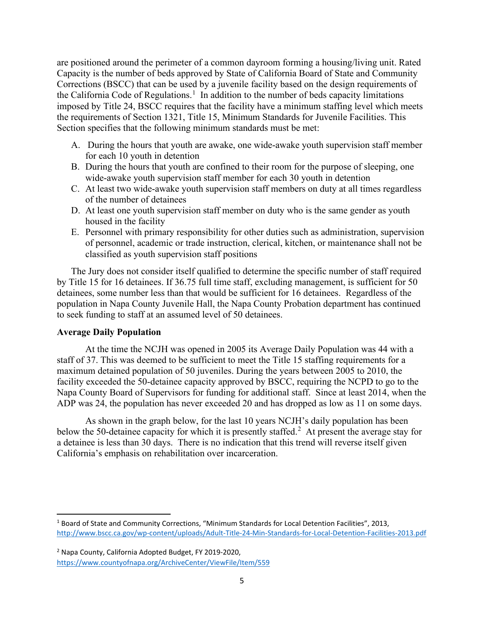are positioned around the perimeter of a common dayroom forming a housing/living unit. Rated Capacity is the number of beds approved by State of California Board of State and Community Corrections (BSCC) that can be used by a juvenile facility based on the design requirements of the California Code of Regulations.<sup>[1](#page-4-0)</sup> In addition to the number of beds capacity limitations imposed by Title 24, BSCC requires that the facility have a minimum staffing level which meets the requirements of Section 1321, Title 15, Minimum Standards for Juvenile Facilities. This Section specifies that the following minimum standards must be met:

- A. During the hours that youth are awake, one wide-awake youth supervision staff member for each 10 youth in detention
- B. During the hours that youth are confined to their room for the purpose of sleeping, one wide-awake youth supervision staff member for each 30 youth in detention
- C. At least two wide-awake youth supervision staff members on duty at all times regardless of the number of detainees
- D. At least one youth supervision staff member on duty who is the same gender as youth housed in the facility
- E. Personnel with primary responsibility for other duties such as administration, supervision of personnel, academic or trade instruction, clerical, kitchen, or maintenance shall not be classified as youth supervision staff positions

The Jury does not consider itself qualified to determine the specific number of staff required by Title 15 for 16 detainees. If 36.75 full time staff, excluding management, is sufficient for 50 detainees, some number less than that would be sufficient for 16 detainees. Regardless of the population in Napa County Juvenile Hall, the Napa County Probation department has continued to seek funding to staff at an assumed level of 50 detainees.

#### **Average Daily Population**

At the time the NCJH was opened in 2005 its Average Daily Population was 44 with a staff of 37. This was deemed to be sufficient to meet the Title 15 staffing requirements for a maximum detained population of 50 juveniles. During the years between 2005 to 2010, the facility exceeded the 50-detainee capacity approved by BSCC, requiring the NCPD to go to the Napa County Board of Supervisors for funding for additional staff. Since at least 2014, when the ADP was 24, the population has never exceeded 20 and has dropped as low as 11 on some days.

As shown in the graph below, for the last 10 years NCJH's daily population has been below the 50-detainee capacity for which it is presently staffed.<sup>[2](#page-4-1)</sup> At present the average stay for a detainee is less than 30 days. There is no indication that this trend will reverse itself given California's emphasis on rehabilitation over incarceration.

<span id="page-4-0"></span><sup>1</sup> Board of State and Community Corrections, "Minimum Standards for Local Detention Facilities", 2013, <http://www.bscc.ca.gov/wp-content/uploads/Adult-Title-24-Min-Standards-for-Local-Detention-Facilities-2013.pdf>

<span id="page-4-1"></span><sup>2</sup> Napa County, California Adopted Budget, FY 2019-2020, <https://www.countyofnapa.org/ArchiveCenter/ViewFile/Item/559>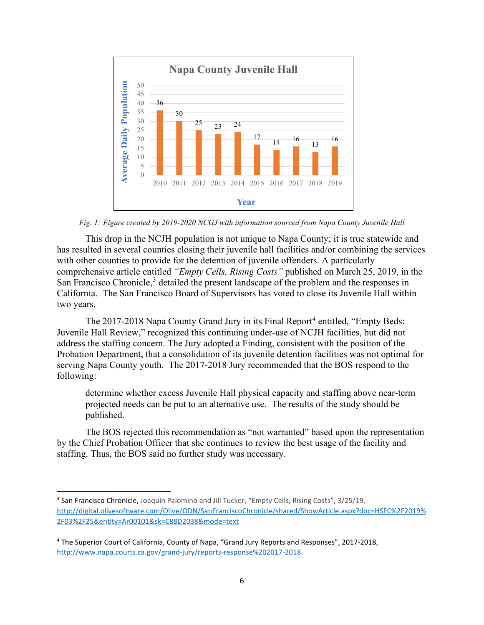

*Fig. 1: Figure created by 2019-2020 NCGJ with information sourced from Napa County Juvenile Hall*

This drop in the NCJH population is not unique to Napa County; it is true statewide and has resulted in several counties closing their juvenile hall facilities and/or combining the services with other counties to provide for the detention of juvenile offenders. A particularly comprehensive article entitled *"Empty Cells, Rising Costs"* published on March 25, 2019, in the San Francisco Chronicle, [3](#page-5-0) detailed the present landscape of the problem and the responses in California. The San Francisco Board of Supervisors has voted to close its Juvenile Hall within two years.

The 2017-2018 Napa County Grand Jury in its Final Report<sup>[4](#page-5-1)</sup> entitled, "Empty Beds: Juvenile Hall Review," recognized this continuing under-use of NCJH facilities, but did not address the staffing concern. The Jury adopted a Finding, consistent with the position of the Probation Department, that a consolidation of its juvenile detention facilities was not optimal for serving Napa County youth. The 2017-2018 Jury recommended that the BOS respond to the following:

determine whether excess Juvenile Hall physical capacity and staffing above near-term projected needs can be put to an alternative use. The results of the study should be published.

The BOS rejected this recommendation as "not warranted" based upon the representation by the Chief Probation Officer that she continues to review the best usage of the facility and staffing. Thus, the BOS said no further study was necessary.

<span id="page-5-0"></span><sup>3</sup> San Francisco Chronicle, Joaquin Palomino and Jill Tucker, "Empty Cells, Rising Costs", 3/25/19, [http://digital.olivesoftware.com/Olive/ODN/SanFranciscoChronicle/shared/ShowArticle.aspx?doc=HSFC%2F2019%](http://digital.olivesoftware.com/Olive/ODN/SanFranciscoChronicle/shared/ShowArticle.aspx?doc=HSFC%2F2019%2F03%2F25&entity=Ar00101&sk=C88D2038&mode=text) [2F03%2F25&entity=Ar00101&sk=C88D2038&mode=text](http://digital.olivesoftware.com/Olive/ODN/SanFranciscoChronicle/shared/ShowArticle.aspx?doc=HSFC%2F2019%2F03%2F25&entity=Ar00101&sk=C88D2038&mode=text)

<span id="page-5-1"></span><sup>4</sup> The Superior Court of California, County of Napa, "Grand Jury Reports and Responses", 2017-2018, <http://www.napa.courts.ca.gov/grand-jury/reports-response%202017-2018>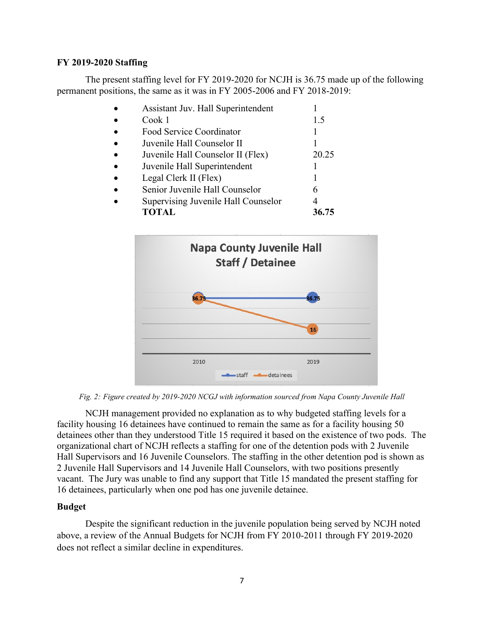#### **FY 2019-2020 Staffing**

The present staffing level for FY 2019-2020 for NCJH is 36.75 made up of the following permanent positions, the same as it was in FY 2005-2006 and FY 2018-2019:

|           | Assistant Juv. Hall Superintendent  |       |
|-----------|-------------------------------------|-------|
|           | Cook 1                              | 1.5   |
| $\bullet$ | Food Service Coordinator            |       |
| $\bullet$ | Juvenile Hall Counselor II          |       |
|           | Juvenile Hall Counselor II (Flex)   | 20.25 |
|           | Juvenile Hall Superintendent        |       |
| $\bullet$ | Legal Clerk II (Flex)               |       |
|           | Senior Juvenile Hall Counselor      | 6     |
|           | Supervising Juvenile Hall Counselor |       |
|           | <b>TOTAL</b>                        | 36.75 |



*Fig. 2: Figure created by 2019-2020 NCGJ with information sourced from Napa County Juvenile Hall*

NCJH management provided no explanation as to why budgeted staffing levels for a facility housing 16 detainees have continued to remain the same as for a facility housing 50 detainees other than they understood Title 15 required it based on the existence of two pods. The organizational chart of NCJH reflects a staffing for one of the detention pods with 2 Juvenile Hall Supervisors and 16 Juvenile Counselors. The staffing in the other detention pod is shown as 2 Juvenile Hall Supervisors and 14 Juvenile Hall Counselors, with two positions presently vacant. The Jury was unable to find any support that Title 15 mandated the present staffing for 16 detainees, particularly when one pod has one juvenile detainee.

#### **Budget**

Despite the significant reduction in the juvenile population being served by NCJH noted above, a review of the Annual Budgets for NCJH from FY 2010-2011 through FY 2019-2020 does not reflect a similar decline in expenditures.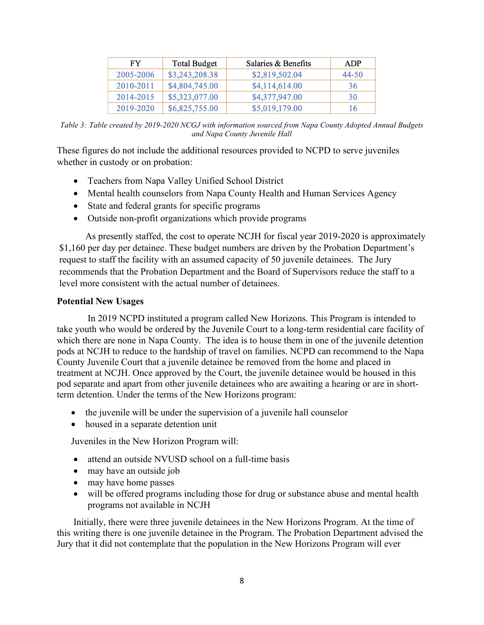| FY        | <b>Total Budget</b> | Salaries & Benefits | ADP       |
|-----------|---------------------|---------------------|-----------|
| 2005-2006 | \$3,243,208.38      | \$2,819,502.04      | $44 - 50$ |
| 2010-2011 | \$4,804,745.00      | \$4,114,614.00      | 36        |
| 2014-2015 | \$5,323,077.00      | \$4,377,947.00      | 30        |
| 2019-2020 | \$6,825,755.00      | \$5,019,179.00      | 16        |

*Table 3: Table created by 2019-2020 NCGJ with information sourced from Napa County Adopted Annual Budgets and Napa County Juvenile Hall*

These figures do not include the additional resources provided to NCPD to serve juveniles whether in custody or on probation:

- Teachers from Napa Valley Unified School District
- Mental health counselors from Napa County Health and Human Services Agency
- State and federal grants for specific programs
- Outside non-profit organizations which provide programs

As presently staffed, the cost to operate NCJH for fiscal year 2019-2020 is approximately \$1,160 per day per detainee. These budget numbers are driven by the Probation Department's request to staff the facility with an assumed capacity of 50 juvenile detainees. The Jury recommends that the Probation Department and the Board of Supervisors reduce the staff to a level more consistent with the actual number of detainees.

#### **Potential New Usages**

In 2019 NCPD instituted a program called New Horizons. This Program is intended to take youth who would be ordered by the Juvenile Court to a long-term residential care facility of which there are none in Napa County. The idea is to house them in one of the juvenile detention pods at NCJH to reduce to the hardship of travel on families. NCPD can recommend to the Napa County Juvenile Court that a juvenile detainee be removed from the home and placed in treatment at NCJH. Once approved by the Court, the juvenile detainee would be housed in this pod separate and apart from other juvenile detainees who are awaiting a hearing or are in shortterm detention. Under the terms of the New Horizons program:

- the juvenile will be under the supervision of a juvenile hall counselor
- housed in a separate detention unit

Juveniles in the New Horizon Program will:

- attend an outside NVUSD school on a full-time basis
- may have an outside job
- may have home passes
- will be offered programs including those for drug or substance abuse and mental health programs not available in NCJH

Initially, there were three juvenile detainees in the New Horizons Program. At the time of this writing there is one juvenile detainee in the Program. The Probation Department advised the Jury that it did not contemplate that the population in the New Horizons Program will ever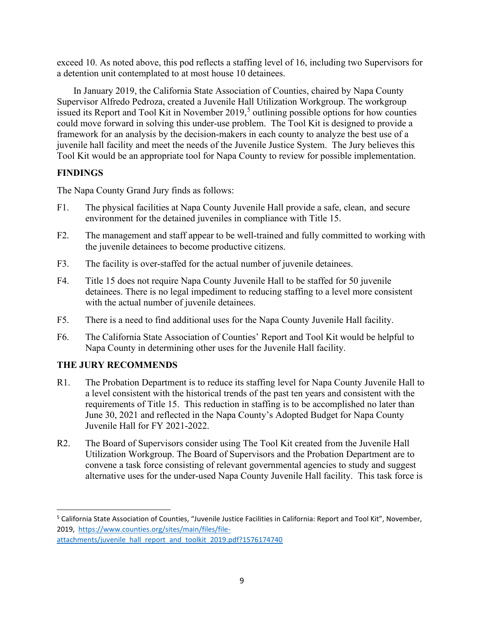exceed 10. As noted above, this pod reflects a staffing level of 16, including two Supervisors for a detention unit contemplated to at most house 10 detainees.

In January 2019, the California State Association of Counties, chaired by Napa County Supervisor Alfredo Pedroza, created a Juvenile Hall Utilization Workgroup. The workgroup issued its Report and Tool Kit in November 2019, [5](#page-8-0) outlining possible options for how counties could move forward in solving this under-use problem. The Tool Kit is designed to provide a framework for an analysis by the decision-makers in each county to analyze the best use of a juvenile hall facility and meet the needs of the Juvenile Justice System. The Jury believes this Tool Kit would be an appropriate tool for Napa County to review for possible implementation.

#### **FINDINGS**

The Napa County Grand Jury finds as follows:

- F1. The physical facilities at Napa County Juvenile Hall provide a safe, clean, and secure environment for the detained juveniles in compliance with Title 15.
- F2. The management and staff appear to be well-trained and fully committed to working with the juvenile detainees to become productive citizens.
- F3. The facility is over-staffed for the actual number of juvenile detainees.
- F4. Title 15 does not require Napa County Juvenile Hall to be staffed for 50 juvenile detainees. There is no legal impediment to reducing staffing to a level more consistent with the actual number of juvenile detainees.
- F5. There is a need to find additional uses for the Napa County Juvenile Hall facility.
- F6. The California State Association of Counties' Report and Tool Kit would be helpful to Napa County in determining other uses for the Juvenile Hall facility.

# **THE JURY RECOMMENDS**

- R1. The Probation Department is to reduce its staffing level for Napa County Juvenile Hall to a level consistent with the historical trends of the past ten years and consistent with the requirements of Title 15. This reduction in staffing is to be accomplished no later than June 30, 2021 and reflected in the Napa County's Adopted Budget for Napa County Juvenile Hall for FY 2021-2022.
- R2. The Board of Supervisors consider using The Tool Kit created from the Juvenile Hall Utilization Workgroup. The Board of Supervisors and the Probation Department are to convene a task force consisting of relevant governmental agencies to study and suggest alternative uses for the under-used Napa County Juvenile Hall facility. This task force is

<span id="page-8-0"></span><sup>&</sup>lt;sup>5</sup> California State Association of Counties, "Juvenile Justice Facilities in California: Report and Tool Kit", November, 2019, [https://www.counties.org/sites/main/files/file](https://www.counties.org/sites/main/files/file-attachments/juvenile_hall_report_and_toolkit_2019.pdf?1576174740)[attachments/juvenile\\_hall\\_report\\_and\\_toolkit\\_2019.pdf?1576174740](https://www.counties.org/sites/main/files/file-attachments/juvenile_hall_report_and_toolkit_2019.pdf?1576174740)